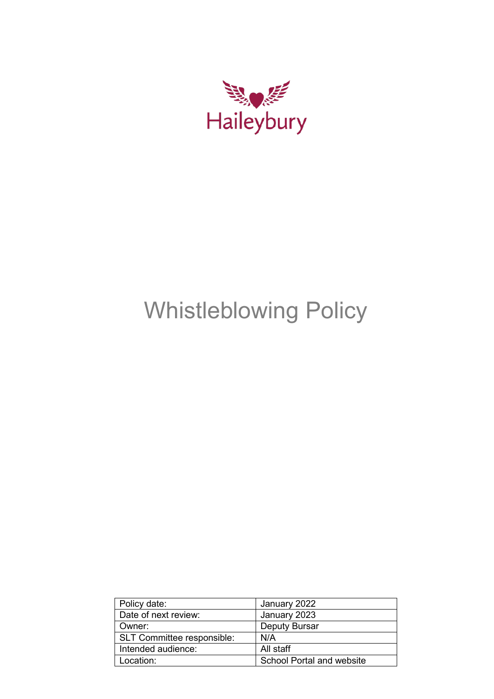

# Whistleblowing Policy

| Policy date:                      | January 2022                     |
|-----------------------------------|----------------------------------|
| Date of next review:              | January 2023                     |
| Owner:                            | <b>Deputy Bursar</b>             |
| <b>SLT Committee responsible:</b> | N/A                              |
| Intended audience:                | All staff                        |
| Location:                         | <b>School Portal and website</b> |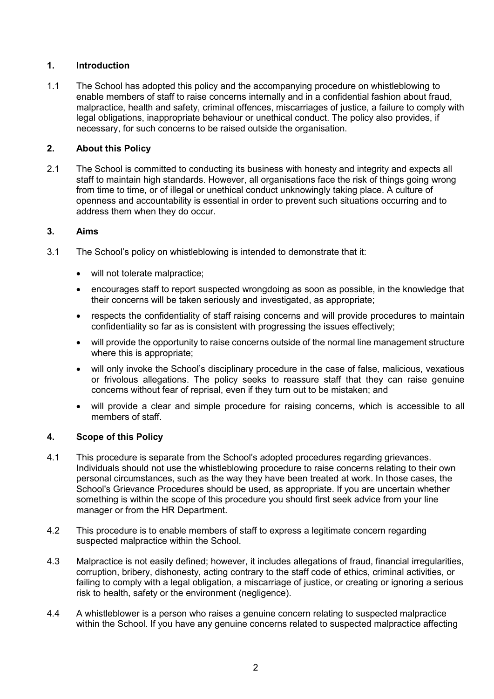## **1. Introduction**

1.1 The School has adopted this policy and the accompanying procedure on whistleblowing to enable members of staff to raise concerns internally and in a confidential fashion about fraud, malpractice, health and safety, criminal offences, miscarriages of justice, a failure to comply with legal obligations, inappropriate behaviour or unethical conduct. The policy also provides, if necessary, for such concerns to be raised outside the organisation.

### **2. About this Policy**

2.1 The School is committed to conducting its business with honesty and integrity and expects all staff to maintain high standards. However, all organisations face the risk of things going wrong from time to time, or of illegal or unethical conduct unknowingly taking place. A culture of openness and accountability is essential in order to prevent such situations occurring and to address them when they do occur.

### **3. Aims**

- 3.1 The School's policy on whistleblowing is intended to demonstrate that it:
	- will not tolerate malpractice;
	- encourages staff to report suspected wrongdoing as soon as possible, in the knowledge that their concerns will be taken seriously and investigated, as appropriate;
	- respects the confidentiality of staff raising concerns and will provide procedures to maintain confidentiality so far as is consistent with progressing the issues effectively;
	- will provide the opportunity to raise concerns outside of the normal line management structure where this is appropriate;
	- will only invoke the School's disciplinary procedure in the case of false, malicious, vexatious or frivolous allegations. The policy seeks to reassure staff that they can raise genuine concerns without fear of reprisal, even if they turn out to be mistaken; and
	- will provide a clear and simple procedure for raising concerns, which is accessible to all members of staff.

#### **4. Scope of this Policy**

- 4.1 This procedure is separate from the School's adopted procedures regarding grievances. Individuals should not use the whistleblowing procedure to raise concerns relating to their own personal circumstances, such as the way they have been treated at work. In those cases, the School's Grievance Procedures should be used, as appropriate. If you are uncertain whether something is within the scope of this procedure you should first seek advice from your line manager or from the HR Department.
- 4.2 This procedure is to enable members of staff to express a legitimate concern regarding suspected malpractice within the School.
- 4.3 Malpractice is not easily defined; however, it includes allegations of fraud, financial irregularities, corruption, bribery, dishonesty, acting contrary to the staff code of ethics, criminal activities, or failing to comply with a legal obligation, a miscarriage of justice, or creating or ignoring a serious risk to health, safety or the environment (negligence).
- 4.4 A whistleblower is a person who raises a genuine concern relating to suspected malpractice within the School. If you have any genuine concerns related to suspected malpractice affecting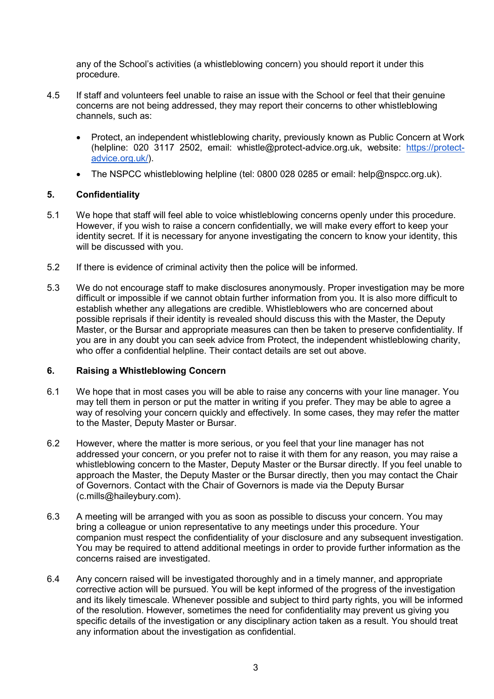any of the School's activities (a whistleblowing concern) you should report it under this procedure.

- 4.5 If staff and volunteers feel unable to raise an issue with the School or feel that their genuine concerns are not being addressed, they may report their concerns to other whistleblowing channels, such as:
	- Protect, an independent whistleblowing charity, previously known as Public Concern at Work (helpline: 020 3117 2502, email: whistle@protect-advice.org.uk, website[:](http://www.pcaw.co.uk/) [https://protect](http://www.pcaw.co.uk/)[advice.org.uk/\)](https://protect-advice.org.uk/).
	- The NSPCC whistleblowing helpline (tel: 0800 028 0285 or email: help@nspcc.org.uk).

#### **5. Confidentiality**

- 5.1 We hope that staff will feel able to voice whistleblowing concerns openly under this procedure. However, if you wish to raise a concern confidentially, we will make every effort to keep your identity secret. If it is necessary for anyone investigating the concern to know your identity, this will be discussed with you.
- 5.2 If there is evidence of criminal activity then the police will be informed.
- 5.3 We do not encourage staff to make disclosures anonymously. Proper investigation may be more difficult or impossible if we cannot obtain further information from you. It is also more difficult to establish whether any allegations are credible. Whistleblowers who are concerned about possible reprisals if their identity is revealed should discuss this with the Master, the Deputy Master, or the Bursar and appropriate measures can then be taken to preserve confidentiality. If you are in any doubt you can seek advice from Protect, the independent whistleblowing charity, who offer a confidential helpline. Their contact details are set out above.

#### **6. Raising a Whistleblowing Concern**

- 6.1 We hope that in most cases you will be able to raise any concerns with your line manager. You may tell them in person or put the matter in writing if you prefer. They may be able to agree a way of resolving your concern quickly and effectively. In some cases, they may refer the matter to the Master, Deputy Master or Bursar.
- 6.2 However, where the matter is more serious, or you feel that your line manager has not addressed your concern, or you prefer not to raise it with them for any reason, you may raise a whistleblowing concern to the Master, Deputy Master or the Bursar directly. If you feel unable to approach the Master, the Deputy Master or the Bursar directly, then you may contact the Chair of Governors. Contact with the Chair of Governors is made via the Deputy Bursar (c.mills@haileybury.com).
- 6.3 A meeting will be arranged with you as soon as possible to discuss your concern. You may bring a colleague or union representative to any meetings under this procedure. Your companion must respect the confidentiality of your disclosure and any subsequent investigation. You may be required to attend additional meetings in order to provide further information as the concerns raised are investigated.
- 6.4 Any concern raised will be investigated thoroughly and in a timely manner, and appropriate corrective action will be pursued. You will be kept informed of the progress of the investigation and its likely timescale. Whenever possible and subject to third party rights, you will be informed of the resolution. However, sometimes the need for confidentiality may prevent us giving you specific details of the investigation or any disciplinary action taken as a result. You should treat any information about the investigation as confidential.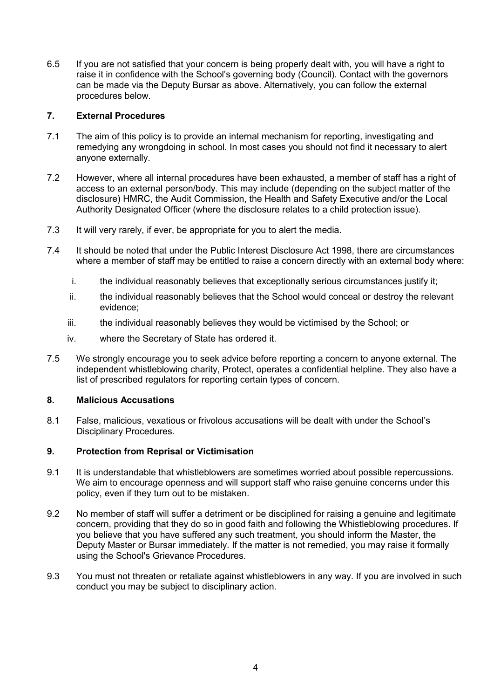6.5 If you are not satisfied that your concern is being properly dealt with, you will have a right to raise it in confidence with the School's governing body (Council). Contact with the governors can be made via the Deputy Bursar as above. Alternatively, you can follow the external procedures below.

### **7. External Procedures**

- 7.1 The aim of this policy is to provide an internal mechanism for reporting, investigating and remedying any wrongdoing in school. In most cases you should not find it necessary to alert anyone externally.
- 7.2 However, where all internal procedures have been exhausted, a member of staff has a right of access to an external person/body. This may include (depending on the subject matter of the disclosure) HMRC, the Audit Commission, the Health and Safety Executive and/or the Local Authority Designated Officer (where the disclosure relates to a child protection issue).
- 7.3 It will very rarely, if ever, be appropriate for you to alert the media.
- 7.4 It should be noted that under the Public Interest Disclosure Act 1998, there are circumstances where a member of staff may be entitled to raise a concern directly with an external body where:
	- i. the individual reasonably believes that exceptionally serious circumstances justify it;
	- ii. the individual reasonably believes that the School would conceal or destroy the relevant evidence;
	- iii. the individual reasonably believes they would be victimised by the School; or
	- iv. where the Secretary of State has ordered it.
- 7.5 We strongly encourage you to seek advice before reporting a concern to anyone external. The independent whistleblowing charity, Protect, operates a confidential helpline. They also have a list of prescribed regulators for reporting certain types of concern.

#### **8. Malicious Accusations**

8.1 False, malicious, vexatious or frivolous accusations will be dealt with under the School's Disciplinary Procedures.

## **9. Protection from Reprisal or Victimisation**

- 9.1 It is understandable that whistleblowers are sometimes worried about possible repercussions. We aim to encourage openness and will support staff who raise genuine concerns under this policy, even if they turn out to be mistaken.
- 9.2 No member of staff will suffer a detriment or be disciplined for raising a genuine and legitimate concern, providing that they do so in good faith and following the Whistleblowing procedures. If you believe that you have suffered any such treatment, you should inform the Master, the Deputy Master or Bursar immediately. If the matter is not remedied, you may raise it formally using the School's Grievance Procedures.
- 9.3 You must not threaten or retaliate against whistleblowers in any way. If you are involved in such conduct you may be subject to disciplinary action.